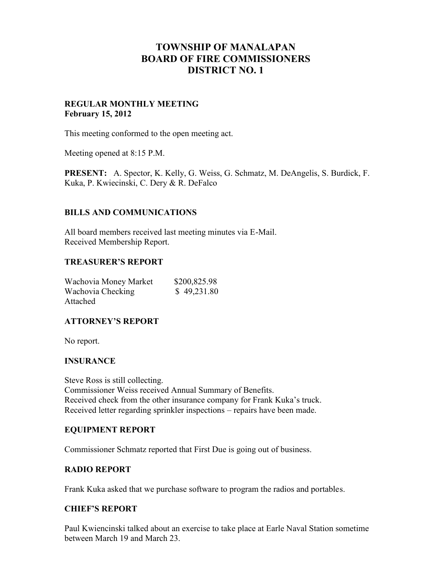# **TOWNSHIP OF MANALAPAN BOARD OF FIRE COMMISSIONERS DISTRICT NO. 1**

# **REGULAR MONTHLY MEETING February 15, 2012**

This meeting conformed to the open meeting act.

Meeting opened at 8:15 P.M.

**PRESENT:** A. Spector, K. Kelly, G. Weiss, G. Schmatz, M. DeAngelis, S. Burdick, F. Kuka, P. Kwiecinski, C. Dery & R. DeFalco

# **BILLS AND COMMUNICATIONS**

All board members received last meeting minutes via E-Mail. Received Membership Report.

## **TREASURER'S REPORT**

| Wachovia Money Market | \$200,825.98 |
|-----------------------|--------------|
| Wachovia Checking     | \$49,231.80  |
| Attached              |              |

## **ATTORNEY'S REPORT**

No report.

## **INSURANCE**

Steve Ross is still collecting. Commissioner Weiss received Annual Summary of Benefits. Received check from the other insurance company for Frank Kuka's truck. Received letter regarding sprinkler inspections – repairs have been made.

## **EQUIPMENT REPORT**

Commissioner Schmatz reported that First Due is going out of business.

# **RADIO REPORT**

Frank Kuka asked that we purchase software to program the radios and portables.

## **CHIEF'S REPORT**

Paul Kwiencinski talked about an exercise to take place at Earle Naval Station sometime between March 19 and March 23.